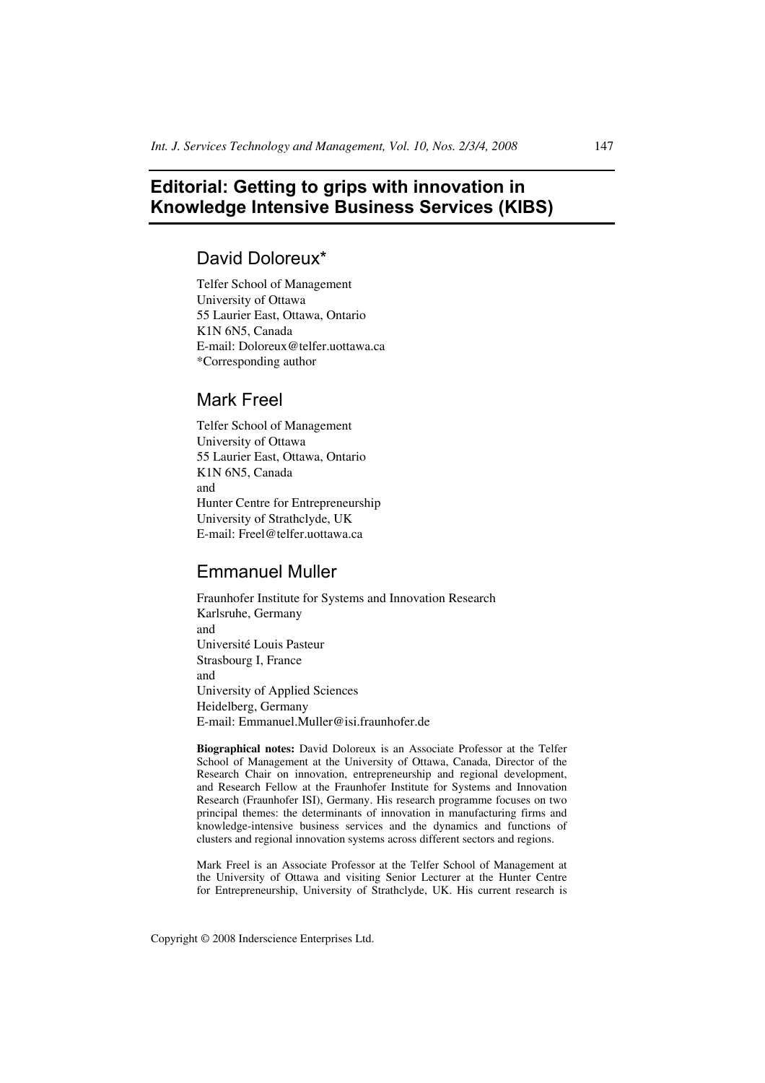# **Editorial: Getting to grips with innovation in Knowledge Intensive Business Services (KIBS)**

### David Doloreux\*

Telfer School of Management University of Ottawa 55 Laurier East, Ottawa, Ontario K1N 6N5, Canada E-mail: Doloreux@telfer.uottawa.ca \*Corresponding author

### Mark Freel

Telfer School of Management University of Ottawa 55 Laurier East, Ottawa, Ontario K1N 6N5, Canada and Hunter Centre for Entrepreneurship University of Strathclyde, UK E-mail: Freel@telfer.uottawa.ca

## Emmanuel Muller

Fraunhofer Institute for Systems and Innovation Research Karlsruhe, Germany and Université Louis Pasteur Strasbourg I, France and University of Applied Sciences Heidelberg, Germany E-mail: Emmanuel.Muller@isi.fraunhofer.de

**Biographical notes:** David Doloreux is an Associate Professor at the Telfer School of Management at the University of Ottawa, Canada, Director of the Research Chair on innovation, entrepreneurship and regional development, and Research Fellow at the Fraunhofer Institute for Systems and Innovation Research (Fraunhofer ISI), Germany. His research programme focuses on two principal themes: the determinants of innovation in manufacturing firms and knowledge-intensive business services and the dynamics and functions of clusters and regional innovation systems across different sectors and regions.

Mark Freel is an Associate Professor at the Telfer School of Management at the University of Ottawa and visiting Senior Lecturer at the Hunter Centre for Entrepreneurship, University of Strathclyde, UK. His current research is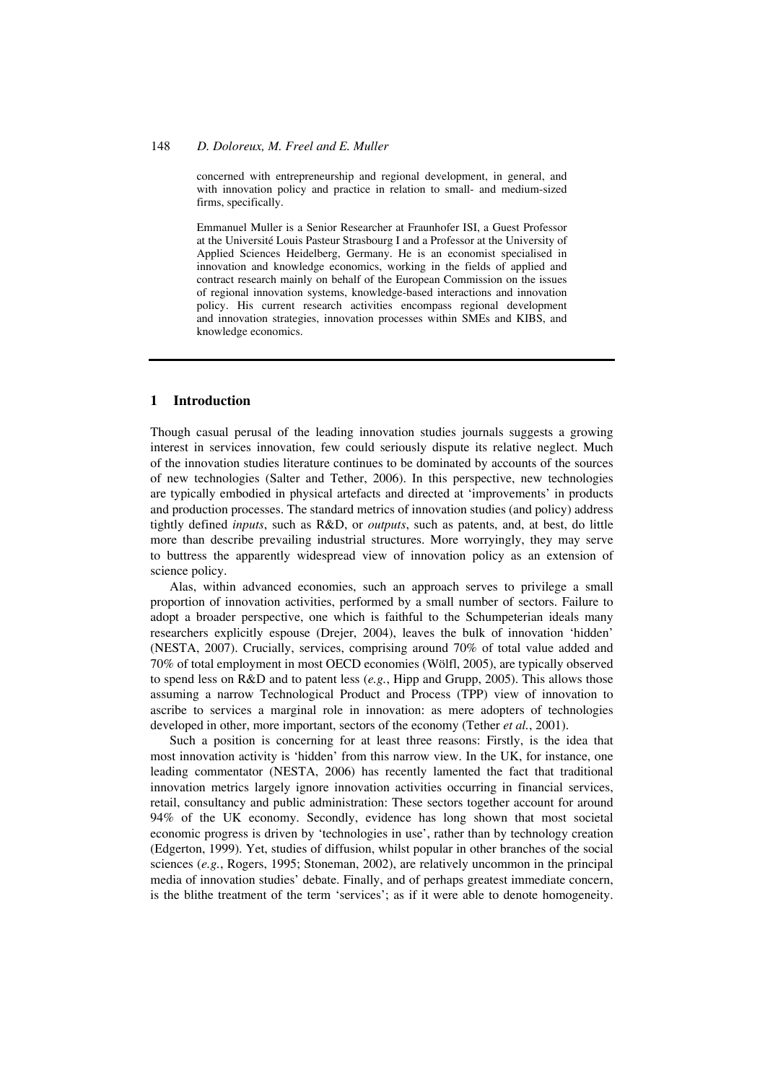#### 148 *D. Doloreux, M. Freel and E. Muller*

concerned with entrepreneurship and regional development, in general, and with innovation policy and practice in relation to small- and medium-sized firms, specifically.

Emmanuel Muller is a Senior Researcher at Fraunhofer ISI, a Guest Professor at the Université Louis Pasteur Strasbourg I and a Professor at the University of Applied Sciences Heidelberg, Germany. He is an economist specialised in innovation and knowledge economics, working in the fields of applied and contract research mainly on behalf of the European Commission on the issues of regional innovation systems, knowledge-based interactions and innovation policy. His current research activities encompass regional development and innovation strategies, innovation processes within SMEs and KIBS, and knowledge economics.

#### **1 Introduction**

Though casual perusal of the leading innovation studies journals suggests a growing interest in services innovation, few could seriously dispute its relative neglect. Much of the innovation studies literature continues to be dominated by accounts of the sources of new technologies (Salter and Tether, 2006). In this perspective, new technologies are typically embodied in physical artefacts and directed at 'improvements' in products and production processes. The standard metrics of innovation studies (and policy) address tightly defined *inputs*, such as R&D, or *outputs*, such as patents, and, at best, do little more than describe prevailing industrial structures. More worryingly, they may serve to buttress the apparently widespread view of innovation policy as an extension of science policy.

Alas, within advanced economies, such an approach serves to privilege a small proportion of innovation activities, performed by a small number of sectors. Failure to adopt a broader perspective, one which is faithful to the Schumpeterian ideals many researchers explicitly espouse (Drejer, 2004), leaves the bulk of innovation 'hidden' (NESTA, 2007). Crucially, services, comprising around 70% of total value added and 70% of total employment in most OECD economies (Wölfl, 2005), are typically observed to spend less on R&D and to patent less (*e.g.*, Hipp and Grupp, 2005). This allows those assuming a narrow Technological Product and Process (TPP) view of innovation to ascribe to services a marginal role in innovation: as mere adopters of technologies developed in other, more important, sectors of the economy (Tether *et al.*, 2001).

Such a position is concerning for at least three reasons: Firstly, is the idea that most innovation activity is 'hidden' from this narrow view. In the UK, for instance, one leading commentator (NESTA, 2006) has recently lamented the fact that traditional innovation metrics largely ignore innovation activities occurring in financial services, retail, consultancy and public administration: These sectors together account for around 94% of the UK economy. Secondly, evidence has long shown that most societal economic progress is driven by 'technologies in use', rather than by technology creation (Edgerton, 1999). Yet, studies of diffusion, whilst popular in other branches of the social sciences (*e.g.*, Rogers, 1995; Stoneman, 2002), are relatively uncommon in the principal media of innovation studies' debate. Finally, and of perhaps greatest immediate concern, is the blithe treatment of the term 'services'; as if it were able to denote homogeneity.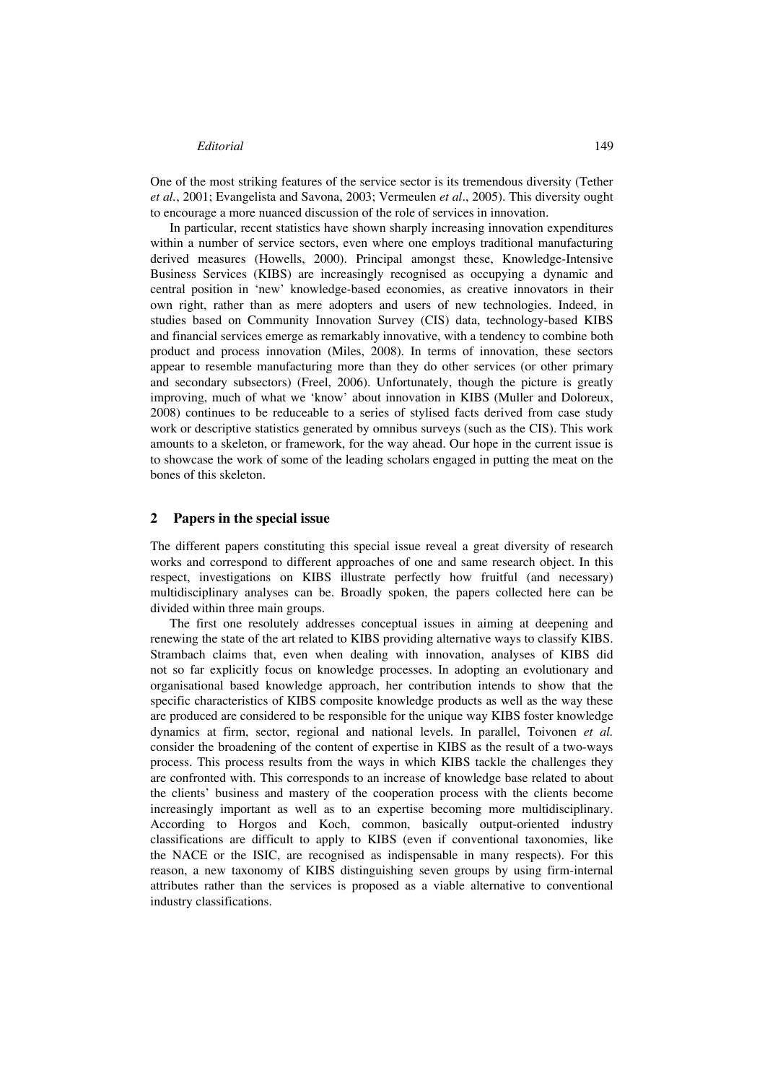#### *Editorial* 149

One of the most striking features of the service sector is its tremendous diversity (Tether *et al.*, 2001; Evangelista and Savona, 2003; Vermeulen *et al*., 2005). This diversity ought to encourage a more nuanced discussion of the role of services in innovation.

In particular, recent statistics have shown sharply increasing innovation expenditures within a number of service sectors, even where one employs traditional manufacturing derived measures (Howells, 2000). Principal amongst these, Knowledge-Intensive Business Services (KIBS) are increasingly recognised as occupying a dynamic and central position in 'new' knowledge-based economies, as creative innovators in their own right, rather than as mere adopters and users of new technologies. Indeed, in studies based on Community Innovation Survey (CIS) data, technology-based KIBS and financial services emerge as remarkably innovative, with a tendency to combine both product and process innovation (Miles, 2008). In terms of innovation, these sectors appear to resemble manufacturing more than they do other services (or other primary and secondary subsectors) (Freel, 2006). Unfortunately, though the picture is greatly improving, much of what we 'know' about innovation in KIBS (Muller and Doloreux, 2008) continues to be reduceable to a series of stylised facts derived from case study work or descriptive statistics generated by omnibus surveys (such as the CIS). This work amounts to a skeleton, or framework, for the way ahead. Our hope in the current issue is to showcase the work of some of the leading scholars engaged in putting the meat on the bones of this skeleton.

#### **2 Papers in the special issue**

The different papers constituting this special issue reveal a great diversity of research works and correspond to different approaches of one and same research object. In this respect, investigations on KIBS illustrate perfectly how fruitful (and necessary) multidisciplinary analyses can be. Broadly spoken, the papers collected here can be divided within three main groups.

The first one resolutely addresses conceptual issues in aiming at deepening and renewing the state of the art related to KIBS providing alternative ways to classify KIBS. Strambach claims that, even when dealing with innovation, analyses of KIBS did not so far explicitly focus on knowledge processes. In adopting an evolutionary and organisational based knowledge approach, her contribution intends to show that the specific characteristics of KIBS composite knowledge products as well as the way these are produced are considered to be responsible for the unique way KIBS foster knowledge dynamics at firm, sector, regional and national levels. In parallel, Toivonen *et al.* consider the broadening of the content of expertise in KIBS as the result of a two-ways process. This process results from the ways in which KIBS tackle the challenges they are confronted with. This corresponds to an increase of knowledge base related to about the clients' business and mastery of the cooperation process with the clients become increasingly important as well as to an expertise becoming more multidisciplinary. According to Horgos and Koch, common, basically output-oriented industry classifications are difficult to apply to KIBS (even if conventional taxonomies, like the NACE or the ISIC, are recognised as indispensable in many respects). For this reason, a new taxonomy of KIBS distinguishing seven groups by using firm-internal attributes rather than the services is proposed as a viable alternative to conventional industry classifications.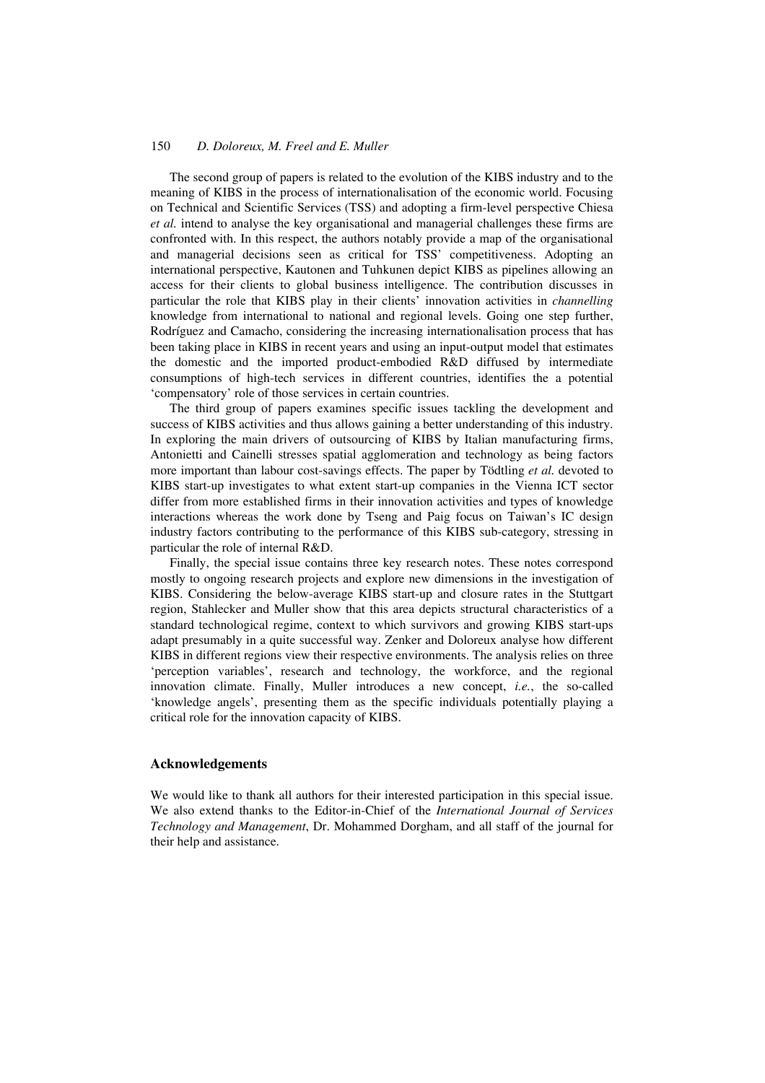#### 150 *D. Doloreux, M. Freel and E. Muller*

The second group of papers is related to the evolution of the KIBS industry and to the meaning of KIBS in the process of internationalisation of the economic world. Focusing on Technical and Scientific Services (TSS) and adopting a firm-level perspective Chiesa *et al.* intend to analyse the key organisational and managerial challenges these firms are confronted with. In this respect, the authors notably provide a map of the organisational and managerial decisions seen as critical for TSS' competitiveness. Adopting an international perspective, Kautonen and Tuhkunen depict KIBS as pipelines allowing an access for their clients to global business intelligence. The contribution discusses in particular the role that KIBS play in their clients' innovation activities in *channelling* knowledge from international to national and regional levels. Going one step further, Rodríguez and Camacho, considering the increasing internationalisation process that has been taking place in KIBS in recent years and using an input-output model that estimates the domestic and the imported product-embodied R&D diffused by intermediate consumptions of high-tech services in different countries, identifies the a potential 'compensatory' role of those services in certain countries.

The third group of papers examines specific issues tackling the development and success of KIBS activities and thus allows gaining a better understanding of this industry. In exploring the main drivers of outsourcing of KIBS by Italian manufacturing firms, Antonietti and Cainelli stresses spatial agglomeration and technology as being factors more important than labour cost-savings effects. The paper by Tödtling *et al.* devoted to KIBS start-up investigates to what extent start-up companies in the Vienna ICT sector differ from more established firms in their innovation activities and types of knowledge interactions whereas the work done by Tseng and Paig focus on Taiwan's IC design industry factors contributing to the performance of this KIBS sub-category, stressing in particular the role of internal R&D.

Finally, the special issue contains three key research notes. These notes correspond mostly to ongoing research projects and explore new dimensions in the investigation of KIBS. Considering the below-average KIBS start-up and closure rates in the Stuttgart region, Stahlecker and Muller show that this area depicts structural characteristics of a standard technological regime, context to which survivors and growing KIBS start-ups adapt presumably in a quite successful way. Zenker and Doloreux analyse how different KIBS in different regions view their respective environments. The analysis relies on three 'perception variables', research and technology, the workforce, and the regional innovation climate. Finally, Muller introduces a new concept, *i.e.*, the so-called 'knowledge angels', presenting them as the specific individuals potentially playing a critical role for the innovation capacity of KIBS.

#### **Acknowledgements**

We would like to thank all authors for their interested participation in this special issue. We also extend thanks to the Editor-in-Chief of the *International Journal of Services Technology and Management*, Dr. Mohammed Dorgham, and all staff of the journal for their help and assistance.